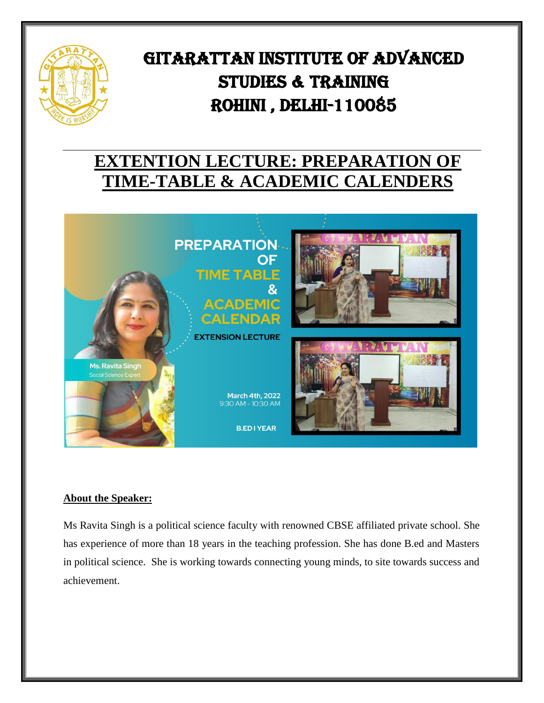

# GITARATTAN INSTITUTE OF ADVANCED STUDIES & TRAINING Rohini , Delhi-110085

j

## **EXTENTION LECTURE: PREPARATION OF TIME-TABLE & ACADEMIC CALENDERS**



### **About the Speaker:**

Ms Ravita Singh is a political science faculty with renowned CBSE affiliated private school. She has experience of more than 18 years in the teaching profession. She has done B.ed and Masters in political science. She is working towards connecting young minds, to site towards success and achievement.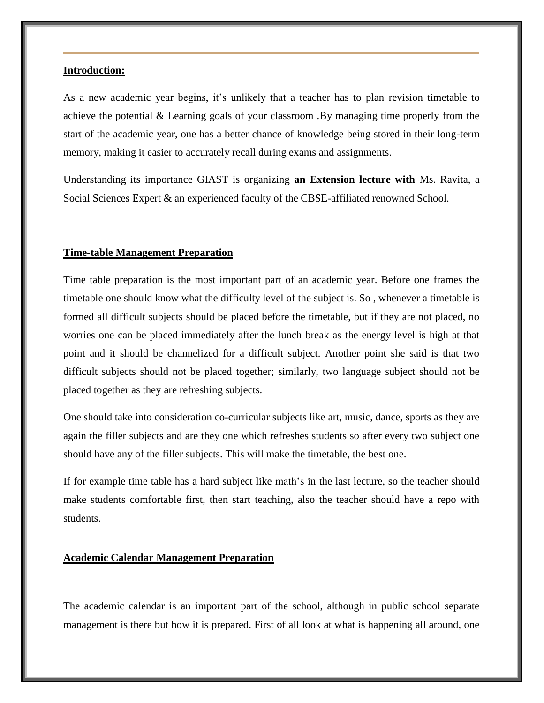#### **Introduction:**

As a new academic year begins, it's unlikely that a teacher has to plan revision timetable to achieve the potential & Learning goals of your classroom .By managing time properly from the start of the academic year, one has a better chance of knowledge being stored in their long-term memory, making it easier to accurately recall during exams and assignments.

Understanding its importance GIAST is organizing **an Extension lecture with** Ms. Ravita, a Social Sciences Expert & an experienced faculty of the CBSE-affiliated renowned School.

#### **Time-table Management Preparation**

Time table preparation is the most important part of an academic year. Before one frames the timetable one should know what the difficulty level of the subject is. So , whenever a timetable is formed all difficult subjects should be placed before the timetable, but if they are not placed, no worries one can be placed immediately after the lunch break as the energy level is high at that point and it should be channelized for a difficult subject. Another point she said is that two difficult subjects should not be placed together; similarly, two language subject should not be placed together as they are refreshing subjects.

One should take into consideration co-curricular subjects like art, music, dance, sports as they are again the filler subjects and are they one which refreshes students so after every two subject one should have any of the filler subjects. This will make the timetable, the best one.

If for example time table has a hard subject like math's in the last lecture, so the teacher should make students comfortable first, then start teaching, also the teacher should have a repo with students.

#### **Academic Calendar Management Preparation**

The academic calendar is an important part of the school, although in public school separate management is there but how it is prepared. First of all look at what is happening all around, one